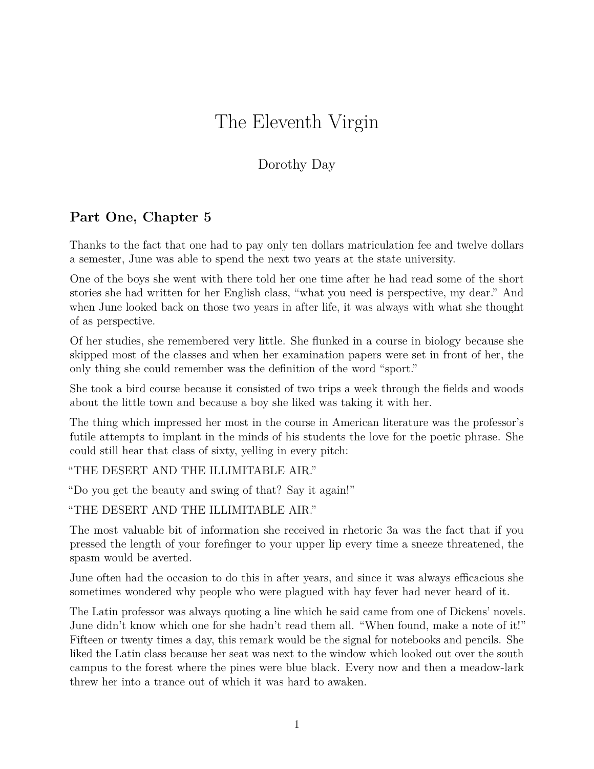## The Eleventh Virgin

## Dorothy Day

## **Part One, Chapter 5**

Thanks to the fact that one had to pay only ten dollars matriculation fee and twelve dollars a semester, June was able to spend the next two years at the state university.

One of the boys she went with there told her one time after he had read some of the short stories she had written for her English class, "what you need is perspective, my dear." And when June looked back on those two years in after life, it was always with what she thought of as perspective.

Of her studies, she remembered very little. She flunked in a course in biology because she skipped most of the classes and when her examination papers were set in front of her, the only thing she could remember was the definition of the word "sport."

She took a bird course because it consisted of two trips a week through the fields and woods about the little town and because a boy she liked was taking it with her.

The thing which impressed her most in the course in American literature was the professor's futile attempts to implant in the minds of his students the love for the poetic phrase. She could still hear that class of sixty, yelling in every pitch:

"THE DESERT AND THE ILLIMITABLE AIR."

"Do you get the beauty and swing of that? Say it again!"

"THE DESERT AND THE ILLIMITABLE AIR."

The most valuable bit of information she received in rhetoric 3a was the fact that if you pressed the length of your forefinger to your upper lip every time a sneeze threatened, the spasm would be averted.

June often had the occasion to do this in after years, and since it was always efficacious she sometimes wondered why people who were plagued with hay fever had never heard of it.

The Latin professor was always quoting a line which he said came from one of Dickens' novels. June didn't know which one for she hadn't read them all. "When found, make a note of it!" Fifteen or twenty times a day, this remark would be the signal for notebooks and pencils. She liked the Latin class because her seat was next to the window which looked out over the south campus to the forest where the pines were blue black. Every now and then a meadow-lark threw her into a trance out of which it was hard to awaken.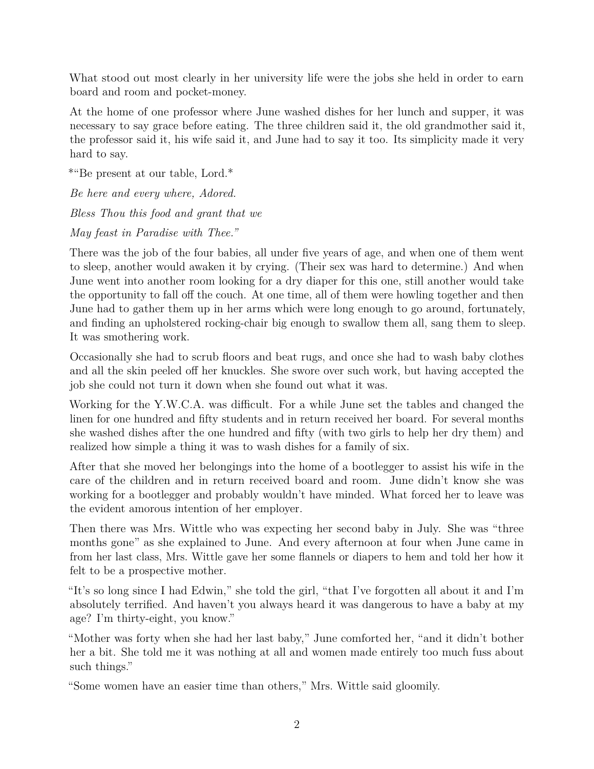What stood out most clearly in her university life were the jobs she held in order to earn board and room and pocket-money.

At the home of one professor where June washed dishes for her lunch and supper, it was necessary to say grace before eating. The three children said it, the old grandmother said it, the professor said it, his wife said it, and June had to say it too. Its simplicity made it very hard to say.

\*"Be present at our table, Lord.\*

*Be here and every where, Adored. Bless Thou this food and grant that we May feast in Paradise with Thee."*

There was the job of the four babies, all under five years of age, and when one of them went to sleep, another would awaken it by crying. (Their sex was hard to determine.) And when June went into another room looking for a dry diaper for this one, still another would take the opportunity to fall off the couch. At one time, all of them were howling together and then June had to gather them up in her arms which were long enough to go around, fortunately, and finding an upholstered rocking-chair big enough to swallow them all, sang them to sleep. It was smothering work.

Occasionally she had to scrub floors and beat rugs, and once she had to wash baby clothes and all the skin peeled off her knuckles. She swore over such work, but having accepted the job she could not turn it down when she found out what it was.

Working for the Y.W.C.A. was difficult. For a while June set the tables and changed the linen for one hundred and fifty students and in return received her board. For several months she washed dishes after the one hundred and fifty (with two girls to help her dry them) and realized how simple a thing it was to wash dishes for a family of six.

After that she moved her belongings into the home of a bootlegger to assist his wife in the care of the children and in return received board and room. June didn't know she was working for a bootlegger and probably wouldn't have minded. What forced her to leave was the evident amorous intention of her employer.

Then there was Mrs. Wittle who was expecting her second baby in July. She was "three months gone" as she explained to June. And every afternoon at four when June came in from her last class, Mrs. Wittle gave her some flannels or diapers to hem and told her how it felt to be a prospective mother.

"It's so long since I had Edwin," she told the girl, "that I've forgotten all about it and I'm absolutely terrified. And haven't you always heard it was dangerous to have a baby at my age? I'm thirty-eight, you know."

"Mother was forty when she had her last baby," June comforted her, "and it didn't bother her a bit. She told me it was nothing at all and women made entirely too much fuss about such things."

"Some women have an easier time than others," Mrs. Wittle said gloomily.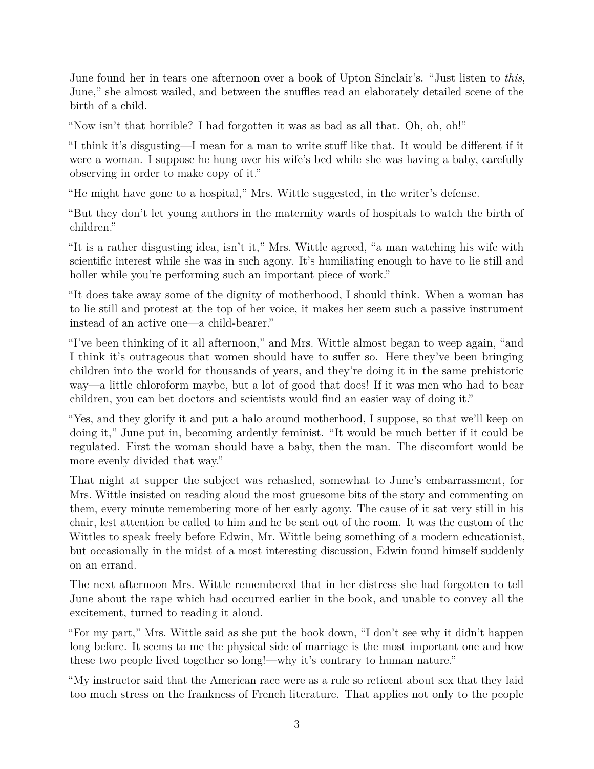June found her in tears one afternoon over a book of Upton Sinclair's. "Just listen to *this*, June," she almost wailed, and between the snuffles read an elaborately detailed scene of the birth of a child.

"Now isn't that horrible? I had forgotten it was as bad as all that. Oh, oh, oh!"

"I think it's disgusting—I mean for a man to write stuff like that. It would be different if it were a woman. I suppose he hung over his wife's bed while she was having a baby, carefully observing in order to make copy of it."

"He might have gone to a hospital," Mrs. Wittle suggested, in the writer's defense.

"But they don't let young authors in the maternity wards of hospitals to watch the birth of children."

"It is a rather disgusting idea, isn't it," Mrs. Wittle agreed, "a man watching his wife with scientific interest while she was in such agony. It's humiliating enough to have to lie still and holler while you're performing such an important piece of work."

"It does take away some of the dignity of motherhood, I should think. When a woman has to lie still and protest at the top of her voice, it makes her seem such a passive instrument instead of an active one—a child-bearer."

"I've been thinking of it all afternoon," and Mrs. Wittle almost began to weep again, "and I think it's outrageous that women should have to suffer so. Here they've been bringing children into the world for thousands of years, and they're doing it in the same prehistoric way—a little chloroform maybe, but a lot of good that does! If it was men who had to bear children, you can bet doctors and scientists would find an easier way of doing it."

"Yes, and they glorify it and put a halo around motherhood, I suppose, so that we'll keep on doing it," June put in, becoming ardently feminist. "It would be much better if it could be regulated. First the woman should have a baby, then the man. The discomfort would be more evenly divided that way."

That night at supper the subject was rehashed, somewhat to June's embarrassment, for Mrs. Wittle insisted on reading aloud the most gruesome bits of the story and commenting on them, every minute remembering more of her early agony. The cause of it sat very still in his chair, lest attention be called to him and he be sent out of the room. It was the custom of the Wittles to speak freely before Edwin, Mr. Wittle being something of a modern educationist, but occasionally in the midst of a most interesting discussion, Edwin found himself suddenly on an errand.

The next afternoon Mrs. Wittle remembered that in her distress she had forgotten to tell June about the rape which had occurred earlier in the book, and unable to convey all the excitement, turned to reading it aloud.

"For my part," Mrs. Wittle said as she put the book down, "I don't see why it didn't happen long before. It seems to me the physical side of marriage is the most important one and how these two people lived together so long!—why it's contrary to human nature."

"My instructor said that the American race were as a rule so reticent about sex that they laid too much stress on the frankness of French literature. That applies not only to the people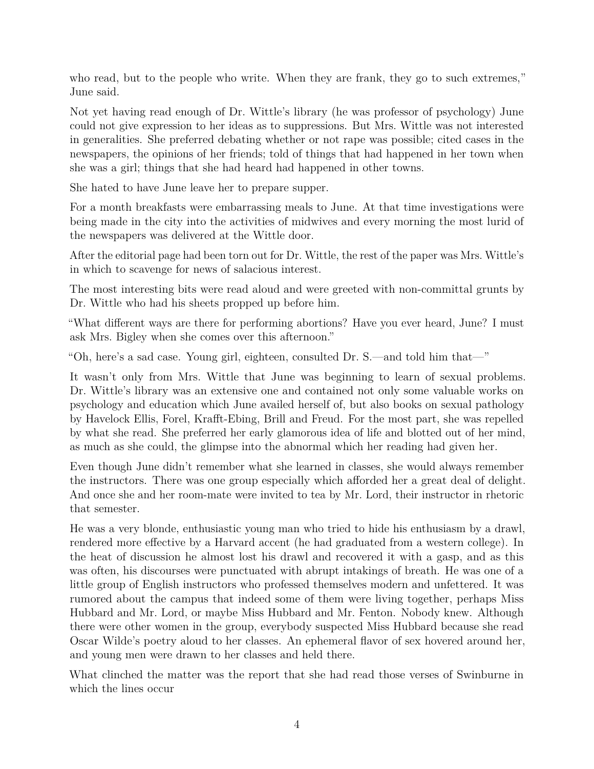who read, but to the people who write. When they are frank, they go to such extremes," June said.

Not yet having read enough of Dr. Wittle's library (he was professor of psychology) June could not give expression to her ideas as to suppressions. But Mrs. Wittle was not interested in generalities. She preferred debating whether or not rape was possible; cited cases in the newspapers, the opinions of her friends; told of things that had happened in her town when she was a girl; things that she had heard had happened in other towns.

She hated to have June leave her to prepare supper.

For a month breakfasts were embarrassing meals to June. At that time investigations were being made in the city into the activities of midwives and every morning the most lurid of the newspapers was delivered at the Wittle door.

After the editorial page had been torn out for Dr. Wittle, the rest of the paper was Mrs. Wittle's in which to scavenge for news of salacious interest.

The most interesting bits were read aloud and were greeted with non-committal grunts by Dr. Wittle who had his sheets propped up before him.

"What different ways are there for performing abortions? Have you ever heard, June? I must ask Mrs. Bigley when she comes over this afternoon."

"Oh, here's a sad case. Young girl, eighteen, consulted Dr. S.—and told him that—"

It wasn't only from Mrs. Wittle that June was beginning to learn of sexual problems. Dr. Wittle's library was an extensive one and contained not only some valuable works on psychology and education which June availed herself of, but also books on sexual pathology by Havelock Ellis, Forel, Krafft-Ebing, Brill and Freud. For the most part, she was repelled by what she read. She preferred her early glamorous idea of life and blotted out of her mind, as much as she could, the glimpse into the abnormal which her reading had given her.

Even though June didn't remember what she learned in classes, she would always remember the instructors. There was one group especially which afforded her a great deal of delight. And once she and her room-mate were invited to tea by Mr. Lord, their instructor in rhetoric that semester.

He was a very blonde, enthusiastic young man who tried to hide his enthusiasm by a drawl, rendered more effective by a Harvard accent (he had graduated from a western college). In the heat of discussion he almost lost his drawl and recovered it with a gasp, and as this was often, his discourses were punctuated with abrupt intakings of breath. He was one of a little group of English instructors who professed themselves modern and unfettered. It was rumored about the campus that indeed some of them were living together, perhaps Miss Hubbard and Mr. Lord, or maybe Miss Hubbard and Mr. Fenton. Nobody knew. Although there were other women in the group, everybody suspected Miss Hubbard because she read Oscar Wilde's poetry aloud to her classes. An ephemeral flavor of sex hovered around her, and young men were drawn to her classes and held there.

What clinched the matter was the report that she had read those verses of Swinburne in which the lines occur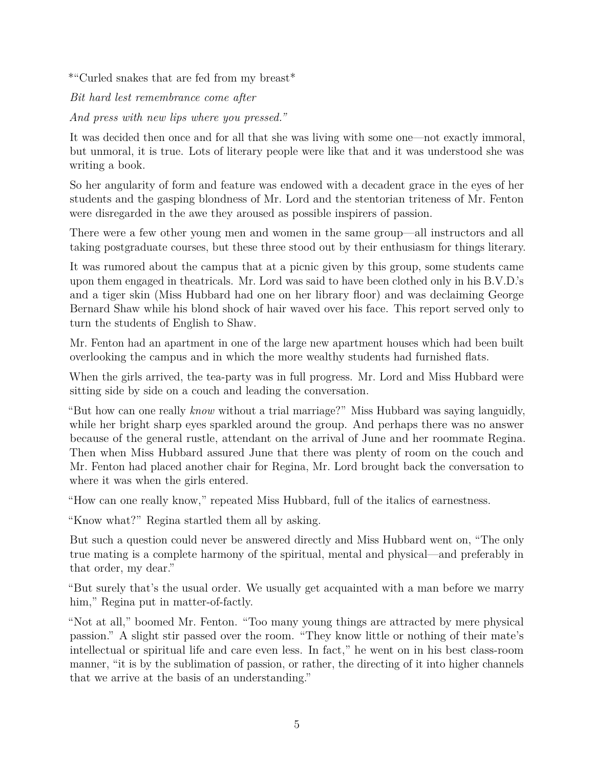\*"Curled snakes that are fed from my breast\*

*Bit hard lest remembrance come after*

*And press with new lips where you pressed."*

It was decided then once and for all that she was living with some one—not exactly immoral, but unmoral, it is true. Lots of literary people were like that and it was understood she was writing a book.

So her angularity of form and feature was endowed with a decadent grace in the eyes of her students and the gasping blondness of Mr. Lord and the stentorian triteness of Mr. Fenton were disregarded in the awe they aroused as possible inspirers of passion.

There were a few other young men and women in the same group—all instructors and all taking postgraduate courses, but these three stood out by their enthusiasm for things literary.

It was rumored about the campus that at a picnic given by this group, some students came upon them engaged in theatricals. Mr. Lord was said to have been clothed only in his B.V.D.'s and a tiger skin (Miss Hubbard had one on her library floor) and was declaiming George Bernard Shaw while his blond shock of hair waved over his face. This report served only to turn the students of English to Shaw.

Mr. Fenton had an apartment in one of the large new apartment houses which had been built overlooking the campus and in which the more wealthy students had furnished flats.

When the girls arrived, the tea-party was in full progress. Mr. Lord and Miss Hubbard were sitting side by side on a couch and leading the conversation.

"But how can one really *know* without a trial marriage?" Miss Hubbard was saying languidly, while her bright sharp eyes sparkled around the group. And perhaps there was no answer because of the general rustle, attendant on the arrival of June and her roommate Regina. Then when Miss Hubbard assured June that there was plenty of room on the couch and Mr. Fenton had placed another chair for Regina, Mr. Lord brought back the conversation to where it was when the girls entered.

"How can one really know," repeated Miss Hubbard, full of the italics of earnestness.

"Know what?" Regina startled them all by asking.

But such a question could never be answered directly and Miss Hubbard went on, "The only true mating is a complete harmony of the spiritual, mental and physical—and preferably in that order, my dear."

"But surely that's the usual order. We usually get acquainted with a man before we marry him," Regina put in matter-of-factly.

"Not at all," boomed Mr. Fenton. "Too many young things are attracted by mere physical passion." A slight stir passed over the room. "They know little or nothing of their mate's intellectual or spiritual life and care even less. In fact," he went on in his best class-room manner, "it is by the sublimation of passion, or rather, the directing of it into higher channels that we arrive at the basis of an understanding."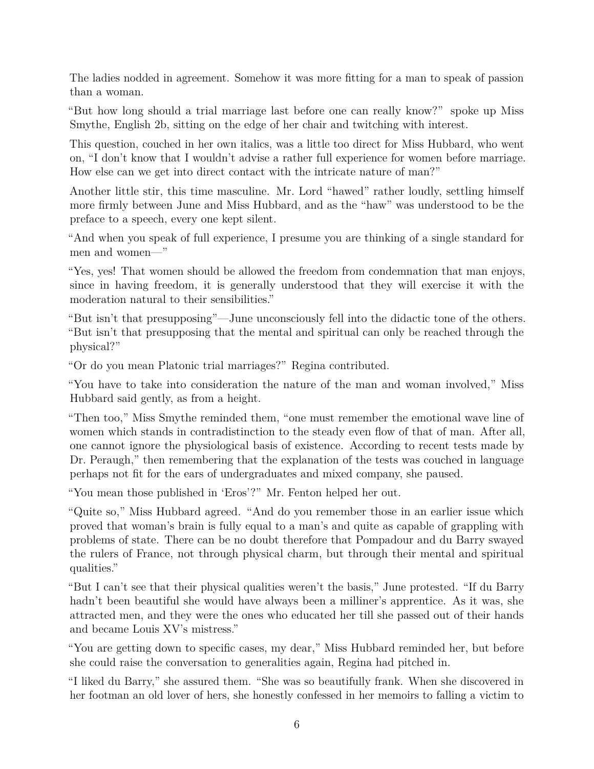The ladies nodded in agreement. Somehow it was more fitting for a man to speak of passion than a woman.

"But how long should a trial marriage last before one can really know?" spoke up Miss Smythe, English 2b, sitting on the edge of her chair and twitching with interest.

This question, couched in her own italics, was a little too direct for Miss Hubbard, who went on, "I don't know that I wouldn't advise a rather full experience for women before marriage. How else can we get into direct contact with the intricate nature of man?"

Another little stir, this time masculine. Mr. Lord "hawed" rather loudly, settling himself more firmly between June and Miss Hubbard, and as the "haw" was understood to be the preface to a speech, every one kept silent.

"And when you speak of full experience, I presume you are thinking of a single standard for men and women—"

"Yes, yes! That women should be allowed the freedom from condemnation that man enjoys, since in having freedom, it is generally understood that they will exercise it with the moderation natural to their sensibilities."

"But isn't that presupposing"—June unconsciously fell into the didactic tone of the others. "But isn't that presupposing that the mental and spiritual can only be reached through the physical?"

"Or do you mean Platonic trial marriages?" Regina contributed.

"You have to take into consideration the nature of the man and woman involved," Miss Hubbard said gently, as from a height.

"Then too," Miss Smythe reminded them, "one must remember the emotional wave line of women which stands in contradistinction to the steady even flow of that of man. After all, one cannot ignore the physiological basis of existence. According to recent tests made by Dr. Peraugh," then remembering that the explanation of the tests was couched in language perhaps not fit for the ears of undergraduates and mixed company, she paused.

"You mean those published in 'Eros'?" Mr. Fenton helped her out.

"Quite so," Miss Hubbard agreed. "And do you remember those in an earlier issue which proved that woman's brain is fully equal to a man's and quite as capable of grappling with problems of state. There can be no doubt therefore that Pompadour and du Barry swayed the rulers of France, not through physical charm, but through their mental and spiritual qualities."

"But I can't see that their physical qualities weren't the basis," June protested. "If du Barry hadn't been beautiful she would have always been a milliner's apprentice. As it was, she attracted men, and they were the ones who educated her till she passed out of their hands and became Louis XV's mistress."

"You are getting down to specific cases, my dear," Miss Hubbard reminded her, but before she could raise the conversation to generalities again, Regina had pitched in.

"I liked du Barry," she assured them. "She was so beautifully frank. When she discovered in her footman an old lover of hers, she honestly confessed in her memoirs to falling a victim to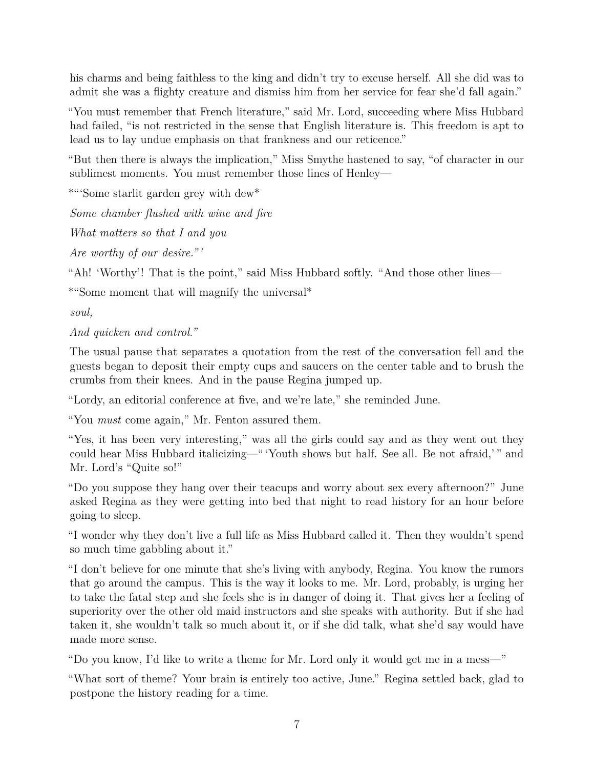his charms and being faithless to the king and didn't try to excuse herself. All she did was to admit she was a flighty creature and dismiss him from her service for fear she'd fall again."

"You must remember that French literature," said Mr. Lord, succeeding where Miss Hubbard had failed, "is not restricted in the sense that English literature is. This freedom is apt to lead us to lay undue emphasis on that frankness and our reticence."

"But then there is always the implication," Miss Smythe hastened to say, "of character in our sublimest moments. You must remember those lines of Henley—

\*"'Some starlit garden grey with dew\*

*Some chamber flushed with wine and fire*

*What matters so that I and you*

*Are worthy of our desire." '*

"Ah! 'Worthy'! That is the point," said Miss Hubbard softly. "And those other lines—

\*"Some moment that will magnify the universal\*

*soul,*

*And quicken and control."*

The usual pause that separates a quotation from the rest of the conversation fell and the guests began to deposit their empty cups and saucers on the center table and to brush the crumbs from their knees. And in the pause Regina jumped up.

"Lordy, an editorial conference at five, and we're late," she reminded June.

"You *must* come again," Mr. Fenton assured them.

"Yes, it has been very interesting," was all the girls could say and as they went out they could hear Miss Hubbard italicizing—" 'Youth shows but half. See all. Be not afraid,' " and Mr. Lord's "Quite so!"

"Do you suppose they hang over their teacups and worry about sex every afternoon?" June asked Regina as they were getting into bed that night to read history for an hour before going to sleep.

"I wonder why they don't live a full life as Miss Hubbard called it. Then they wouldn't spend so much time gabbling about it."

"I don't believe for one minute that she's living with anybody, Regina. You know the rumors that go around the campus. This is the way it looks to me. Mr. Lord, probably, is urging her to take the fatal step and she feels she is in danger of doing it. That gives her a feeling of superiority over the other old maid instructors and she speaks with authority. But if she had taken it, she wouldn't talk so much about it, or if she did talk, what she'd say would have made more sense.

"Do you know, I'd like to write a theme for Mr. Lord only it would get me in a mess—"

"What sort of theme? Your brain is entirely too active, June." Regina settled back, glad to postpone the history reading for a time.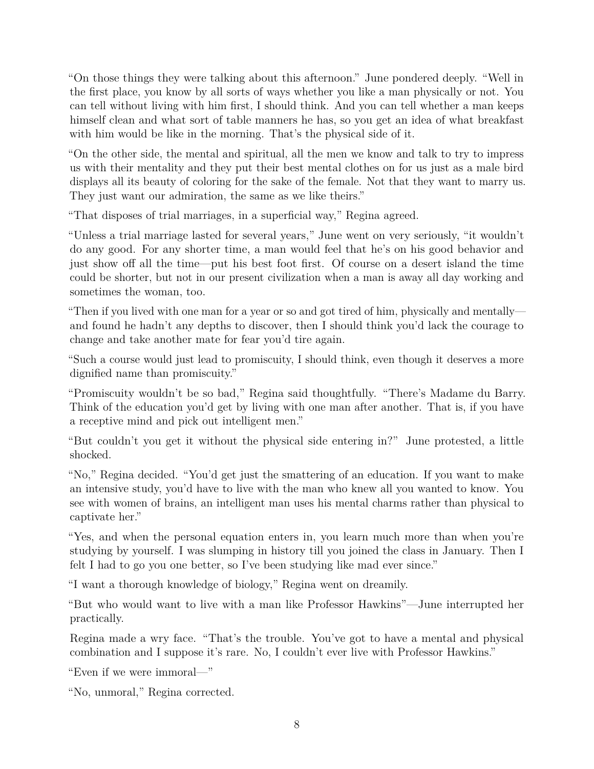"On those things they were talking about this afternoon." June pondered deeply. "Well in the first place, you know by all sorts of ways whether you like a man physically or not. You can tell without living with him first, I should think. And you can tell whether a man keeps himself clean and what sort of table manners he has, so you get an idea of what breakfast with him would be like in the morning. That's the physical side of it.

"On the other side, the mental and spiritual, all the men we know and talk to try to impress us with their mentality and they put their best mental clothes on for us just as a male bird displays all its beauty of coloring for the sake of the female. Not that they want to marry us. They just want our admiration, the same as we like theirs."

"That disposes of trial marriages, in a superficial way," Regina agreed.

"Unless a trial marriage lasted for several years," June went on very seriously, "it wouldn't do any good. For any shorter time, a man would feel that he's on his good behavior and just show off all the time—put his best foot first. Of course on a desert island the time could be shorter, but not in our present civilization when a man is away all day working and sometimes the woman, too.

"Then if you lived with one man for a year or so and got tired of him, physically and mentally and found he hadn't any depths to discover, then I should think you'd lack the courage to change and take another mate for fear you'd tire again.

"Such a course would just lead to promiscuity, I should think, even though it deserves a more dignified name than promiscuity."

"Promiscuity wouldn't be so bad," Regina said thoughtfully. "There's Madame du Barry. Think of the education you'd get by living with one man after another. That is, if you have a receptive mind and pick out intelligent men."

"But couldn't you get it without the physical side entering in?" June protested, a little shocked.

"No," Regina decided. "You'd get just the smattering of an education. If you want to make an intensive study, you'd have to live with the man who knew all you wanted to know. You see with women of brains, an intelligent man uses his mental charms rather than physical to captivate her."

"Yes, and when the personal equation enters in, you learn much more than when you're studying by yourself. I was slumping in history till you joined the class in January. Then I felt I had to go you one better, so I've been studying like mad ever since."

"I want a thorough knowledge of biology," Regina went on dreamily.

"But who would want to live with a man like Professor Hawkins"—June interrupted her practically.

Regina made a wry face. "That's the trouble. You've got to have a mental and physical combination and I suppose it's rare. No, I couldn't ever live with Professor Hawkins."

"Even if we were immoral—"

"No, unmoral," Regina corrected.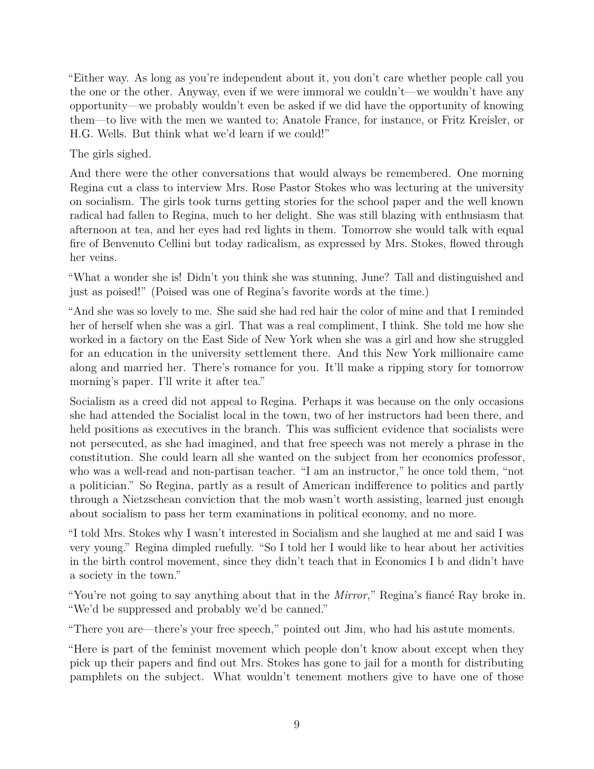"Either way. As long as you're independent about it, you don't care whether people call you the one or the other. Anyway, even if we were immoral we couldn't—we wouldn't have any opportunity—we probably wouldn't even be asked if we did have the opportunity of knowing them—to live with the men we wanted to; Anatole France, for instance, or Fritz Kreisler, or H.G. Wells. But think what we'd learn if we could!"

The girls sighed.

And there were the other conversations that would always be remembered. One morning Regina cut a class to interview Mrs. Rose Pastor Stokes who was lecturing at the university on socialism. The girls took turns getting stories for the school paper and the well known radical had fallen to Regina, much to her delight. She was still blazing with enthusiasm that afternoon at tea, and her eyes had red lights in them. Tomorrow she would talk with equal fire of Benvenuto Cellini but today radicalism, as expressed by Mrs. Stokes, flowed through her veins.

"What a wonder she is! Didn't you think she was stunning, June? Tall and distinguished and just as poised!" (Poised was one of Regina's favorite words at the time.)

"And she was so lovely to me. She said she had red hair the color of mine and that I reminded her of herself when she was a girl. That was a real compliment, I think. She told me how she worked in a factory on the East Side of New York when she was a girl and how she struggled for an education in the university settlement there. And this New York millionaire came along and married her. There's romance for you. It'll make a ripping story for tomorrow morning's paper. I'll write it after tea."

Socialism as a creed did not appeal to Regina. Perhaps it was because on the only occasions she had attended the Socialist local in the town, two of her instructors had been there, and held positions as executives in the branch. This was sufficient evidence that socialists were not persecuted, as she had imagined, and that free speech was not merely a phrase in the constitution. She could learn all she wanted on the subject from her economics professor, who was a well-read and non-partisan teacher. "I am an instructor," he once told them, "not a politician." So Regina, partly as a result of American indifference to politics and partly through a Nietzschean conviction that the mob wasn't worth assisting, learned just enough about socialism to pass her term examinations in political economy, and no more.

"I told Mrs. Stokes why I wasn't interested in Socialism and she laughed at me and said I was very young." Regina dimpled ruefully. "So I told her I would like to hear about her activities in the birth control movement, since they didn't teach that in Economics I b and didn't have a society in the town."

"You're not going to say anything about that in the *Mirror*," Regina's fiancé Ray broke in. "We'd be suppressed and probably we'd be canned."

"There you are—there's your free speech," pointed out Jim, who had his astute moments.

"Here is part of the feminist movement which people don't know about except when they pick up their papers and find out Mrs. Stokes has gone to jail for a month for distributing pamphlets on the subject. What wouldn't tenement mothers give to have one of those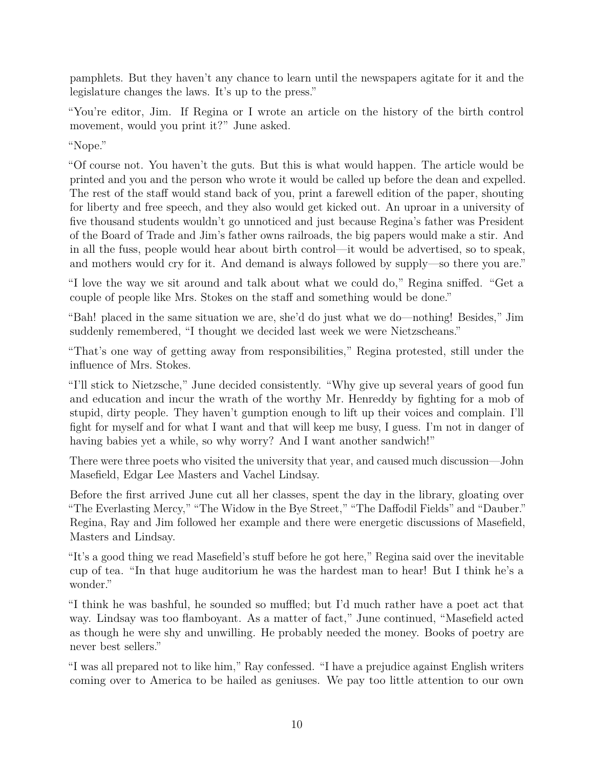pamphlets. But they haven't any chance to learn until the newspapers agitate for it and the legislature changes the laws. It's up to the press."

"You're editor, Jim. If Regina or I wrote an article on the history of the birth control movement, would you print it?" June asked.

"Nope."

"Of course not. You haven't the guts. But this is what would happen. The article would be printed and you and the person who wrote it would be called up before the dean and expelled. The rest of the staff would stand back of you, print a farewell edition of the paper, shouting for liberty and free speech, and they also would get kicked out. An uproar in a university of five thousand students wouldn't go unnoticed and just because Regina's father was President of the Board of Trade and Jim's father owns railroads, the big papers would make a stir. And in all the fuss, people would hear about birth control—it would be advertised, so to speak, and mothers would cry for it. And demand is always followed by supply—so there you are."

"I love the way we sit around and talk about what we could do," Regina sniffed. "Get a couple of people like Mrs. Stokes on the staff and something would be done."

"Bah! placed in the same situation we are, she'd do just what we do—nothing! Besides," Jim suddenly remembered, "I thought we decided last week we were Nietzscheans."

"That's one way of getting away from responsibilities," Regina protested, still under the influence of Mrs. Stokes.

"I'll stick to Nietzsche," June decided consistently. "Why give up several years of good fun and education and incur the wrath of the worthy Mr. Henreddy by fighting for a mob of stupid, dirty people. They haven't gumption enough to lift up their voices and complain. I'll fight for myself and for what I want and that will keep me busy, I guess. I'm not in danger of having babies yet a while, so why worry? And I want another sandwich!"

There were three poets who visited the university that year, and caused much discussion—John Masefield, Edgar Lee Masters and Vachel Lindsay.

Before the first arrived June cut all her classes, spent the day in the library, gloating over "The Everlasting Mercy," "The Widow in the Bye Street," "The Daffodil Fields" and "Dauber." Regina, Ray and Jim followed her example and there were energetic discussions of Masefield, Masters and Lindsay.

"It's a good thing we read Masefield's stuff before he got here," Regina said over the inevitable cup of tea. "In that huge auditorium he was the hardest man to hear! But I think he's a wonder."

"I think he was bashful, he sounded so muffled; but I'd much rather have a poet act that way. Lindsay was too flamboyant. As a matter of fact," June continued, "Masefield acted as though he were shy and unwilling. He probably needed the money. Books of poetry are never best sellers."

"I was all prepared not to like him," Ray confessed. "I have a prejudice against English writers coming over to America to be hailed as geniuses. We pay too little attention to our own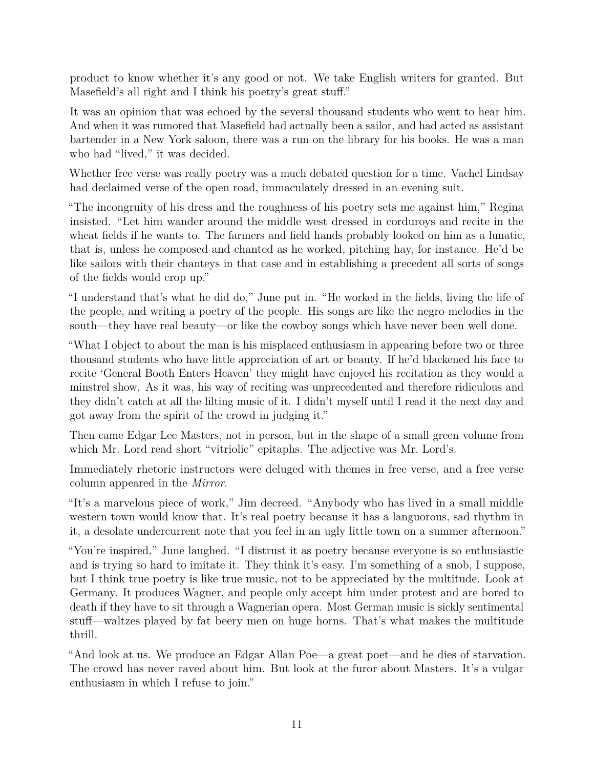product to know whether it's any good or not. We take English writers for granted. But Masefield's all right and I think his poetry's great stuff."

It was an opinion that was echoed by the several thousand students who went to hear him. And when it was rumored that Masefield had actually been a sailor, and had acted as assistant bartender in a New York saloon, there was a run on the library for his books. He was a man who had "lived," it was decided.

Whether free verse was really poetry was a much debated question for a time. Vachel Lindsay had declaimed verse of the open road, immaculately dressed in an evening suit.

"The incongruity of his dress and the roughness of his poetry sets me against him," Regina insisted. "Let him wander around the middle west dressed in corduroys and recite in the wheat fields if he wants to. The farmers and field hands probably looked on him as a lunatic, that is, unless he composed and chanted as he worked, pitching hay, for instance. He'd be like sailors with their chanteys in that case and in establishing a precedent all sorts of songs of the fields would crop up."

"I understand that's what he did do," June put in. "He worked in the fields, living the life of the people, and writing a poetry of the people. His songs are like the negro melodies in the south—they have real beauty—or like the cowboy songs which have never been well done.

"What I object to about the man is his misplaced enthusiasm in appearing before two or three thousand students who have little appreciation of art or beauty. If he'd blackened his face to recite 'General Booth Enters Heaven' they might have enjoyed his recitation as they would a minstrel show. As it was, his way of reciting was unprecedented and therefore ridiculous and they didn't catch at all the lilting music of it. I didn't myself until I read it the next day and got away from the spirit of the crowd in judging it."

Then came Edgar Lee Masters, not in person, but in the shape of a small green volume from which Mr. Lord read short "vitriolic" epitaphs. The adjective was Mr. Lord's.

Immediately rhetoric instructors were deluged with themes in free verse, and a free verse column appeared in the *Mirror*.

"It's a marvelous piece of work," Jim decreed. "Anybody who has lived in a small middle western town would know that. It's real poetry because it has a languorous, sad rhythm in it, a desolate undercurrent note that you feel in an ugly little town on a summer afternoon."

"You're inspired," June laughed. "I distrust it as poetry because everyone is so enthusiastic and is trying so hard to imitate it. They think it's easy. I'm something of a snob, I suppose, but I think true poetry is like true music, not to be appreciated by the multitude. Look at Germany. It produces Wagner, and people only accept him under protest and are bored to death if they have to sit through a Wagnerian opera. Most German music is sickly sentimental stuff—waltzes played by fat beery men on huge horns. That's what makes the multitude thrill.

"And look at us. We produce an Edgar Allan Poe—a great poet—and he dies of starvation. The crowd has never raved about him. But look at the furor about Masters. It's a vulgar enthusiasm in which I refuse to join."